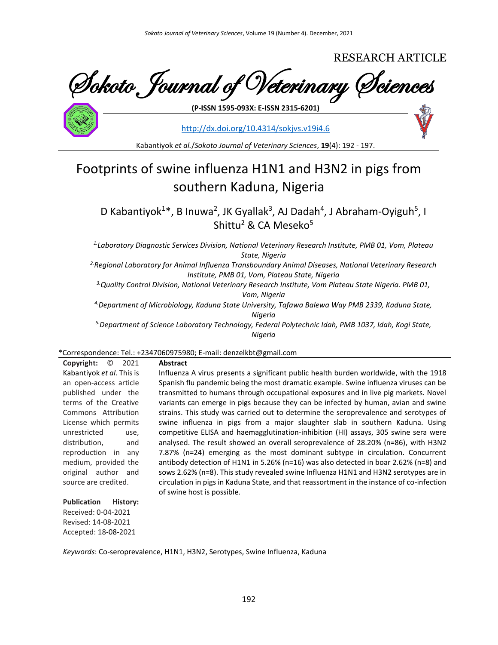RESEARCH ARTICLE

Sokoto Journal of Veterinary Sciences

**(P-ISSN 1595-093X: E-ISSN 2315-6201)**

<http://dx.doi.org/10.4314/sokjvs.v19i4.6>

Kabantiyok *et al.*/*Sokoto Journal of Veterinary Sciences*, **19**(4): 192 - 197.

# Footprints of swine influenza H1N1 and H3N2 in pigs from southern Kaduna, Nigeria

D Kabantiyok<sup>1\*</sup>, B Inuwa<sup>2</sup>, JK Gyallak<sup>3</sup>, AJ Dadah<sup>4</sup>, J Abraham-Oyiguh<sup>5</sup>, I Shittu<sup>2</sup> & CA Meseko<sup>5</sup>

*1.Laboratory Diagnostic Services Division, National Veterinary Research Institute, PMB 01, Vom, Plateau State, Nigeria*

*2.Regional Laboratory for Animal Influenza Transboundary Animal Diseases, National Veterinary Research Institute, PMB 01, Vom, Plateau State, Nigeria*

*3.Quality Control Division, National Veterinary Research Institute, Vom Plateau State Nigeria. PMB 01, Vom, Nigeria*

*4.Department of Microbiology, Kaduna State University, Tafawa Balewa Way PMB 2339, Kaduna State, Nigeria*

*5.Department of Science Laboratory Technology, Federal Polytechnic Idah, PMB 1037, Idah, Kogi State, Nigeria*

# \*Correspondence: Tel.: +2347060975980; E-mail: denzelkbt@gmail.com

| O<br>Copyright:<br>2021        | <b>Abstract</b>                                                                              |
|--------------------------------|----------------------------------------------------------------------------------------------|
| Kabantiyok et al. This is      | Influenza A virus presents a significant public health burden worldwide, with the 1918       |
| an open-access article         | Spanish flu pandemic being the most dramatic example. Swine influenza viruses can be         |
| published under the            | transmitted to humans through occupational exposures and in live pig markets. Novel          |
| terms of the Creative          | variants can emerge in pigs because they can be infected by human, avian and swine           |
| Commons Attribution            | strains. This study was carried out to determine the seroprevalence and serotypes of         |
| License which permits          | swine influenza in pigs from a major slaughter slab in southern Kaduna. Using                |
| unrestricted<br>use,           | competitive ELISA and haemagglutination-inhibition (HI) assays, 305 swine sera were          |
| distribution,<br>and           | analysed. The result showed an overall seroprevalence of 28.20% (n=86), with H3N2            |
| reproduction in any            | 7.87% (n=24) emerging as the most dominant subtype in circulation. Concurrent                |
| medium, provided the           | antibody detection of H1N1 in 5.26% ( $n=16$ ) was also detected in boar 2.62% ( $n=8$ ) and |
| original author and            | sows 2.62% (n=8). This study revealed swine Influenza H1N1 and H3N2 serotypes are in         |
| source are credited.           | circulation in pigs in Kaduna State, and that reassortment in the instance of co-infection   |
|                                | of swine host is possible.                                                                   |
| <b>Publication</b><br>History: |                                                                                              |
| Received: 0-04-2021            |                                                                                              |

Accepted: 18-08-2021

Revised: 14-08-2021

*Keywords*: Co-seroprevalence, H1N1, H3N2, Serotypes, Swine Influenza, Kaduna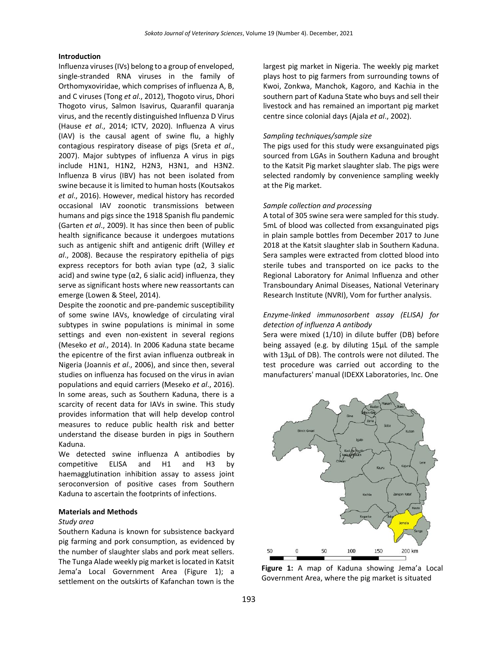## **Introduction**

Influenza viruses (IVs) belong to a group of enveloped, single-stranded RNA viruses in the family of Orthomyxoviridae, which comprises of influenza A, B, and C viruses (Tong *et al*., 2012), Thogoto virus, Dhori Thogoto virus, Salmon Isavirus, Quaranfil quaranja virus, and the recently distinguished Influenza D Virus (Hause *et al*., 2014; ICTV, 2020). Influenza A virus (IAV) is the causal agent of swine flu, a highly contagious respiratory disease of pigs (Sreta *et al*., 2007). Major subtypes of influenza A virus in pigs include H1N1, H1N2, H2N3, H3N1, and H3N2. Influenza B virus (IBV) has not been isolated from swine because it is limited to human hosts (Koutsakos *et al*., 2016). However, medical history has recorded occasional IAV zoonotic transmissions between humans and pigs since the 1918 Spanish flu pandemic (Garten *et al*., 2009). It has since then been of public health significance because it undergoes mutations such as antigenic shift and antigenic drift (Willey *et al*., 2008). Because the respiratory epithelia of pigs express receptors for both avian type  $(\alpha 2, 3$  sialic acid) and swine type ( $\alpha$ 2, 6 sialic acid) influenza, they serve as significant hosts where new reassortants can emerge (Lowen & Steel, 2014).

Despite the zoonotic and pre-pandemic susceptibility of some swine IAVs, knowledge of circulating viral subtypes in swine populations is minimal in some settings and even non-existent in several regions (Meseko *et al*., 2014). In 2006 Kaduna state became the epicentre of the first avian influenza outbreak in Nigeria (Joannis *et al*., 2006), and since then, several studies on influenza has focused on the virus in avian populations and equid carriers (Meseko *et al*., 2016). In some areas, such as Southern Kaduna, there is a scarcity of recent data for IAVs in swine. This study provides information that will help develop control measures to reduce public health risk and better understand the disease burden in pigs in Southern Kaduna.

We detected swine influenza A antibodies by competitive ELISA and H1 and H3 by haemagglutination inhibition assay to assess joint seroconversion of positive cases from Southern Kaduna to ascertain the footprints of infections.

#### **Materials and Methods**

#### *Study area*

Southern Kaduna is known for subsistence backyard pig farming and pork consumption, as evidenced by the number of slaughter slabs and pork meat sellers. The Tunga Alade weekly pig market is located in Katsit Jema'a Local Government Area (Figure 1); a settlement on the outskirts of Kafanchan town is the

largest pig market in Nigeria. The weekly pig market plays host to pig farmers from surrounding towns of Kwoi, Zonkwa, Manchok, Kagoro, and Kachia in the southern part of Kaduna State who buys and sell their livestock and has remained an important pig market centre since colonial days (Ajala *et al*., 2002).

#### *Sampling techniques/sample size*

The pigs used for this study were exsanguinated pigs sourced from LGAs in Southern Kaduna and brought to the Katsit Pig market slaughter slab. The pigs were selected randomly by convenience sampling weekly at the Pig market.

## *Sample collection and processing*

A total of 305 swine sera were sampled for this study. 5mL of blood was collected from exsanguinated pigs in plain sample bottles from December 2017 to June 2018 at the Katsit slaughter slab in Southern Kaduna. Sera samples were extracted from clotted blood into sterile tubes and transported on ice packs to the Regional Laboratory for Animal Influenza and other Transboundary Animal Diseases, National Veterinary Research Institute (NVRI), Vom for further analysis.

## *Enzyme-linked immunosorbent assay (ELISA) for detection of influenza A antibody*

Sera were mixed (1/10) in dilute buffer (DB) before being assayed (e.g. by diluting 15µL of the sample with 13µL of DB). The controls were not diluted. The test procedure was carried out according to the manufacturers' manual (IDEXX Laboratories, Inc. One



**Figure 1:** A map of Kaduna showing Jema'a Local Government Area, where the pig market is situated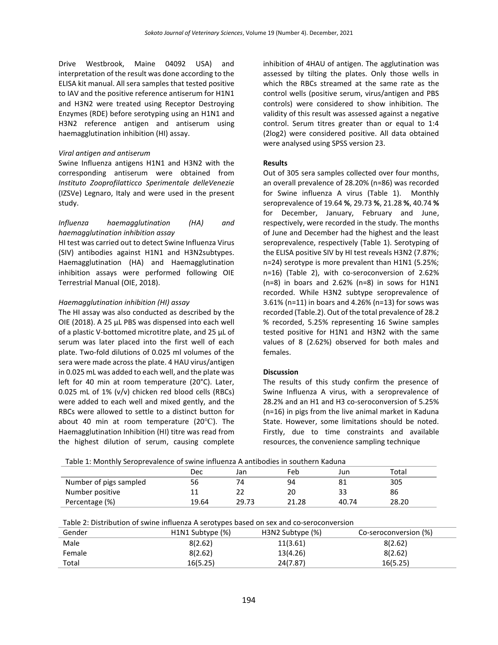Drive Westbrook, Maine 04092 USA) and interpretation of the result was done according to the ELISA kit manual. All sera samples that tested positive to IAV and the positive reference antiserum for H1N1 and H3N2 were treated using Receptor Destroying Enzymes (RDE) before serotyping using an H1N1 and H3N2 reference antigen and antiserum using haemagglutination inhibition (HI) assay.

#### *Viral antigen and antiserum*

Swine Influenza antigens H1N1 and H3N2 with the corresponding antiserum were obtained from *Instituto Zooprofilatticco Sperimentale delleVenezie* (IZSVe) Legnaro, Italy and were used in the present study.

## *Influenza haemagglutination (HA) and haemagglutination inhibition assay*

HI test was carried out to detect Swine Influenza Virus (SIV) antibodies against H1N1 and H3N2subtypes. Haemagglutination (HA) and Haemagglutination inhibition assays were performed following OIE Terrestrial Manual (OIE, 2018).

#### *Haemagglutination inhibition (HI) assay*

The HI assay was also conducted as described by the OIE (2018). A 25 µL PBS was dispensed into each well of a plastic V-bottomed microtitre plate, and 25 µL of serum was later placed into the first well of each plate. Two-fold dilutions of 0.025 ml volumes of the sera were made across the plate. 4 HAU virus/antigen in 0.025 mL was added to each well, and the plate was left for 40 min at room temperature (20°C). Later, 0.025 mL of 1% (v/v) chicken red blood cells (RBCs) were added to each well and mixed gently, and the RBCs were allowed to settle to a distinct button for about 40 min at room temperature (20℃). The Haemagglutination Inhibition (HI) titre was read from the highest dilution of serum, causing complete

inhibition of 4HAU of antigen. The agglutination was assessed by tilting the plates. Only those wells in which the RBCs streamed at the same rate as the control wells (positive serum, virus/antigen and PBS controls) were considered to show inhibition. The validity of this result was assessed against a negative control. Serum titres greater than or equal to 1:4 (2log2) were considered positive. All data obtained were analysed using SPSS version 23.

#### **Results**

Out of 305 sera samples collected over four months, an overall prevalence of 28.20% (n=86) was recorded for Swine influenza A virus (Table 1). Monthly seroprevalence of 19.64 **%**, 29.73 **%**, 21.28 **%**, 40.74 **%** for December, January, February and June, respectively, were recorded in the study. The months of June and December had the highest and the least seroprevalence, respectively (Table 1). Serotyping of the ELISA positive SIV by HI test reveals H3N2 (7.87%; n=24) serotype is more prevalent than H1N1 (5.25%; n=16) (Table 2), with co-seroconversion of 2.62% (n=8) in boars and 2.62% (n=8) in sows for H1N1 recorded. While H3N2 subtype seroprevalence of 3.61% (n=11) in boars and 4.26% (n=13) for sows was recorded (Table.2). Out of the total prevalence of 28.2 % recorded, 5.25% representing 16 Swine samples tested positive for H1N1 and H3N2 with the same values of 8 (2.62%) observed for both males and females.

## **Discussion**

The results of this study confirm the presence of Swine Influenza A virus, with a seroprevalence of 28.2% and an H1 and H3 co-seroconversion of 5.25% (n=16) in pigs from the live animal market in Kaduna State. However, some limitations should be noted. Firstly, due to time constraints and available resources, the convenience sampling technique

|                        | Dec     | Jan   | Feb   | Jun   | Total |
|------------------------|---------|-------|-------|-------|-------|
| Number of pigs sampled | 56      | 74    | 94    | 81    | 305   |
| Number positive        | 11<br>ᆠ |       | 20    |       | 86    |
| Percentage (%)         | 19.64   | 29.73 | 21.28 | 40.74 | 28.20 |

| Table 2: Distribution of swine influenza A serotypes based on sex and co-seroconversion |                  |                  |                       |  |  |  |
|-----------------------------------------------------------------------------------------|------------------|------------------|-----------------------|--|--|--|
| Gender                                                                                  | H1N1 Subtype (%) | H3N2 Subtype (%) | Co-seroconversion (%) |  |  |  |
| Male                                                                                    | 8(2.62)          | 11(3.61)         | 8(2.62)               |  |  |  |
| Female                                                                                  | 8(2.62)          | 13(4.26)         | 8(2.62)               |  |  |  |
| Total                                                                                   | 16(5.25)         | 24(7.87)         | 16(5.25)              |  |  |  |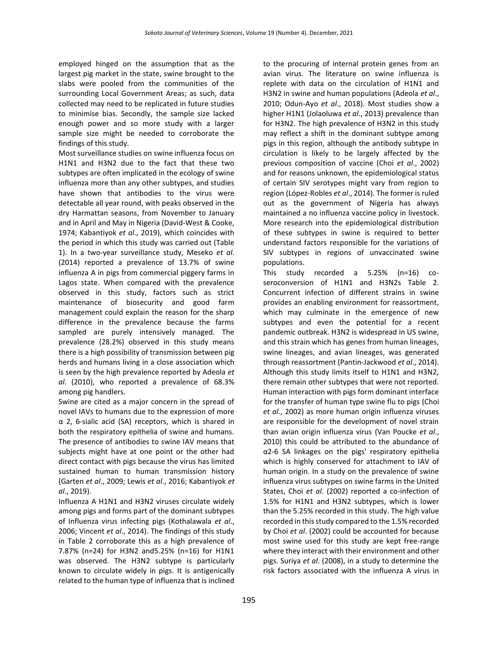employed hinged on the assumption that as the largest pig market in the state, swine brought to the slabs were pooled from the communities of the surrounding Local Government Areas; as such, data collected may need to be replicated in future studies to minimise bias. Secondly, the sample size lacked enough power and so more study with a larger sample size might be needed to corroborate the findings of this study.

Most surveillance studies on swine influenza focus on H1N1 and H3N2 due to the fact that these two subtypes are often implicated in the ecology of swine influenza more than any other subtypes, and studies have shown that antibodies to the virus were detectable all year round, with peaks observed in the dry Harmattan seasons, from November to January and in April and May in Nigeria (David-West & Cooke, 1974; Kabantiyok *et al*., 2019), which coincides with the period in which this study was carried out (Table 1). In a two-year surveillance study, Meseko *et al*. (2014) reported a prevalence of 13.7% of swine influenza A in pigs from commercial piggery farms in Lagos state. When compared with the prevalence observed in this study, factors such as strict maintenance of biosecurity and good farm management could explain the reason for the sharp difference in the prevalence because the farms sampled are purely intensively managed. The prevalence (28.2%) observed in this study means there is a high possibility of transmission between pig herds and humans living in a close association which is seen by the high prevalence reported by Adeola *et al*. (2010), who reported a prevalence of 68.3% among pig handlers.

Swine are cited as a major concern in the spread of novel IAVs to humans due to the expression of more α 2, 6-sialic acid (SA) receptors, which is shared in both the respiratory epithelia of swine and humans. The presence of antibodies to swine IAV means that subjects might have at one point or the other had direct contact with pigs because the virus has limited sustained human to human transmission history (Garten *et al*., 2009; Lewis *et al*., 2016; Kabantiyok *et al*., 2019).

Influenza A H1N1 and H3N2 viruses circulate widely among pigs and forms part of the dominant subtypes of Influenza virus infecting pigs (Kothalawala *et al*., 2006; Vincent *et al*., 2014). The findings of this study in Table 2 corroborate this as a high prevalence of 7.87% (n=24) for H3N2 and5.25% (n=16) for H1N1 was observed. The H3N2 subtype is particularly known to circulate widely in pigs. It is antigenically related to the human type of influenza that is inclined

to the procuring of internal protein genes from an avian virus. The literature on swine influenza is replete with data on the circulation of H1N1 and H3N2 in swine and human populations (Adeola *et al*., 2010; Odun-Ayo *et al*., 2018). Most studies show a higher H1N1 (Jolaoluwa *et al*., 2013) prevalence than for H3N2. The high prevalence of H3N2 in this study may reflect a shift in the dominant subtype among pigs in this region, although the antibody subtype in circulation is likely to be largely affected by the previous composition of vaccine (Choi *et al*., 2002) and for reasons unknown, the epidemiological status of certain SIV serotypes might vary from region to region (López-Robles *et al*., 2014). The former is ruled out as the government of Nigeria has always maintained a no influenza vaccine policy in livestock. More research into the epidemiological distribution of these subtypes in swine is required to better understand factors responsible for the variations of SIV subtypes in regions of unvaccinated swine populations.

This study recorded a 5.25% (n=16) coseroconversion of H1N1 and H3N2s Table 2. Concurrent infection of different strains in swine provides an enabling environment for reassortment, which may culminate in the emergence of new subtypes and even the potential for a recent pandemic outbreak. H3N2 is widespread in US swine, and this strain which has genes from human lineages, swine lineages, and avian lineages, was generated through reassortment (Pantin-Jackwood *et al*., 2014). Although this study limits itself to H1N1 and H3N2, there remain other subtypes that were not reported. Human interaction with pigs form dominant interface for the transfer of human type swine flu to pigs (Choi *et al*., 2002) as more human origin influenza viruses are responsible for the development of novel strain than avian origin influenza virus (Van Poucke *et al.*, 2010) this could be attributed to the abundance of α2-6 SA linkages on the pigs' respiratory epithelia which is highly conserved for attachment to IAV of human origin. In a study on the prevalence of swine influenza virus subtypes on swine farms in the United States, Choi *et al*. (2002) reported a co-infection of 1.5% for H1N1 and H3N2 subtypes, which is lower than the 5.25% recorded in this study. The high value recorded in this study compared to the 1.5% recorded by Choi *et al*. (2002) could be accounted for because most swine used for this study are kept free-range where they interact with their environment and other pigs. Suriya *et al*. (2008), in a study to determine the risk factors associated with the influenza A virus in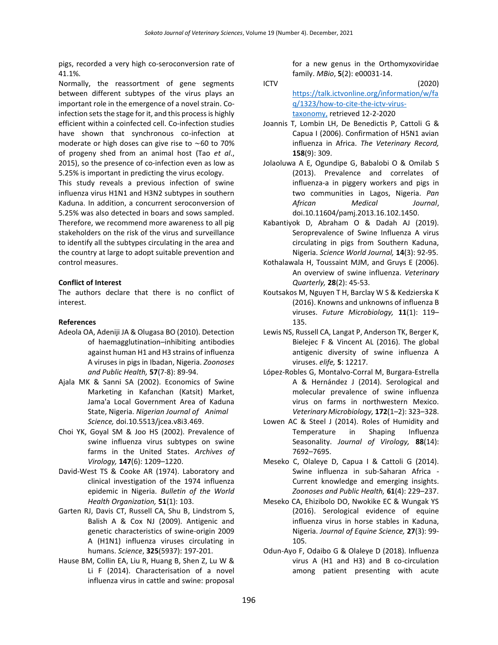pigs, recorded a very high co-seroconversion rate of 41.1%.

Normally, the reassortment of gene segments between different subtypes of the virus plays an important role in the emergence of a novel strain. Coinfection sets the stage for it, and this process is highly efficient within a coinfected cell. Co-infection studies have shown that synchronous co-infection at moderate or high doses can give rise to ∼60 to 70% of progeny shed from an animal host (Tao *et al*., 2015), so the presence of co-infection even as low as 5.25% is important in predicting the virus ecology.

This study reveals a previous infection of swine influenza virus H1N1 and H3N2 subtypes in southern Kaduna. In addition, a concurrent seroconversion of 5.25% was also detected in boars and sows sampled. Therefore, we recommend more awareness to all pig stakeholders on the risk of the virus and surveillance to identify all the subtypes circulating in the area and the country at large to adopt suitable prevention and control measures.

## **Conflict of Interest**

The authors declare that there is no conflict of interest.

## **References**

- Adeola OA, Adeniji JA & Olugasa BO (2010). Detection of haemagglutination–inhibiting antibodies against human H1 and H3 strains of influenza A viruses in pigs in Ibadan, Nigeria. *Zoonoses and Public Health,* **57**(7‐8): 89-94.
- Ajala MK & Sanni SA (2002). Economics of Swine Marketing in Kafanchan (Katsit) Market, Jama'a Local Government Area of Kaduna State, Nigeria. *Nigerian Journal of Animal Science,* doi.10.5513/jcea.v8i3.469.
- Choi YK, Goyal SM & Joo HS (2002). Prevalence of swine influenza virus subtypes on swine farms in the United States. *Archives of Virology,* **147**(6): 1209–1220.
- David-West TS & Cooke AR (1974). Laboratory and clinical investigation of the 1974 influenza epidemic in Nigeria. *Bulletin of the World Health Organization,* **51**(1): 103.
- Garten RJ, Davis CT, Russell CA, Shu B, Lindstrom S, Balish A & Cox NJ (2009). Antigenic and genetic characteristics of swine-origin 2009 A (H1N1) influenza viruses circulating in humans. *Science*, **325**(5937): 197-201.
- Hause BM, Collin EA, Liu R, Huang B, Shen Z, Lu W & Li F (2014). Characterisation of a novel influenza virus in cattle and swine: proposal

for a new genus in the Orthomyxoviridae family. *MBio*, **5**(2): e00031-14.

- ICTV (2020) [https://talk.ictvonline.org/information/w/fa](https://talk.ictvonline.org/information/w/faq/1323/how-to-cite-the-ictv-virus-taxonomy) [q/1323/how-to-cite-the-ictv-virus](https://talk.ictvonline.org/information/w/faq/1323/how-to-cite-the-ictv-virus-taxonomy)[taxonomy,](https://talk.ictvonline.org/information/w/faq/1323/how-to-cite-the-ictv-virus-taxonomy) retrieved 12-2-2020
- Joannis T, Lombin LH, De Benedictis P, Cattoli G & Capua I (2006). Confirmation of H5N1 avian influenza in Africa. *The Veterinary Record,* **158**(9): 309.
- Jolaoluwa A E, Ogundipe G, Babalobi O & Omilab S (2013). Prevalence and correlates of influenza-a in piggery workers and pigs in two communities in Lagos, Nigeria. *Pan African Medical Journal*, doi.10.11604/pamj.2013.16.102.1450.
- Kabantiyok D, Abraham O & Dadah AJ (2019). Seroprevalence of Swine Influenza A virus circulating in pigs from Southern Kaduna, Nigeria. *Science World Journal,* **14**(3): 92-95.
- Kothalawala H, Toussaint MJM, and Gruys E (2006). An overview of swine influenza. *Veterinary Quarterly,* **28**(2): 45-53.
- Koutsakos M, Nguyen T H, Barclay W S & Kedzierska K (2016). Knowns and unknowns of influenza B viruses. *Future Microbiology,* **11**(1): 119– 135.
- Lewis NS, Russell CA, Langat P, Anderson TK, Berger K, Bielejec F & Vincent AL (2016). The global antigenic diversity of swine influenza A viruses. *elife,* **5**: 12217.
- López-Robles G, Montalvo-Corral M, Burgara-Estrella A & Hernández J (2014). Serological and molecular prevalence of swine influenza virus on farms in northwestern Mexico. *Veterinary Microbiology,* **172**(1–2): 323–328.
- Lowen AC & Steel J (2014). Roles of Humidity and Temperature in Shaping Influenza Seasonality. *Journal of Virology,* **88**(14): 7692–7695.
- Meseko C, Olaleye D, Capua I & Cattoli G (2014). Swine influenza in sub-Saharan Africa - Current knowledge and emerging insights. *Zoonoses and Public Health,* **61**(4): 229–237.
- Meseko CA, Ehizibolo DO, Nwokike EC & Wungak YS (2016). Serological evidence of equine influenza virus in horse stables in Kaduna, Nigeria. *Journal of Equine Science,* **27**(3): 99- 105.
- Odun-Ayo F, Odaibo G & Olaleye D (2018). Influenza virus A (H1 and H3) and B co-circulation among patient presenting with acute